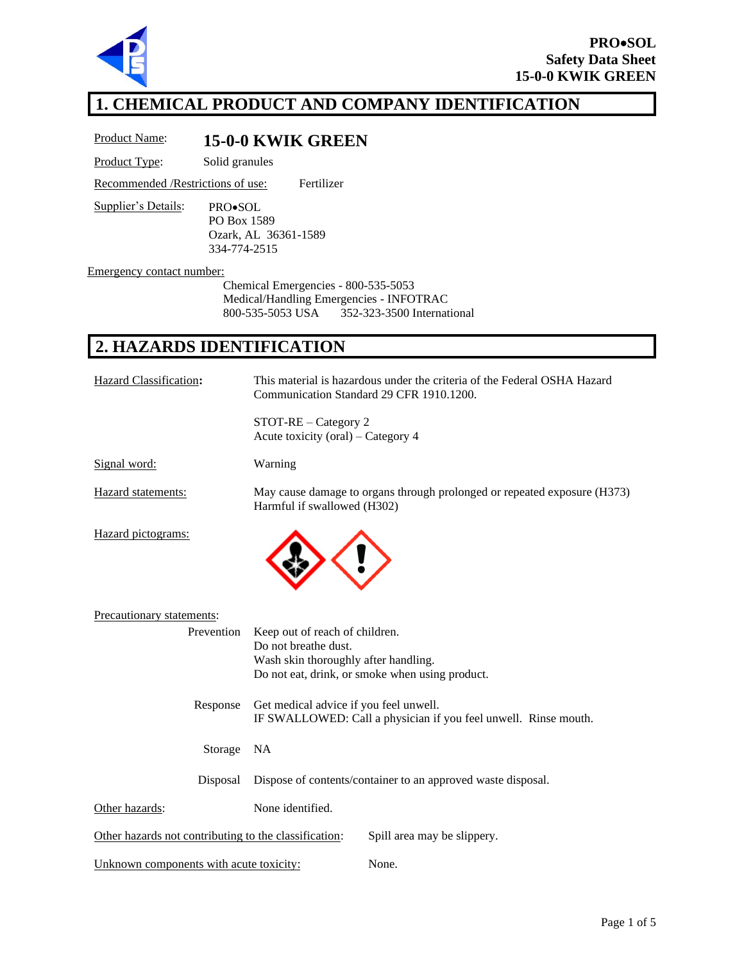

## **1. CHEMICAL PRODUCT AND COMPANY IDENTIFICATION**

Product Name: **15-0-0 KWIK GREEN**

Product Type: Solid granules

Recommended /Restrictions of use: Fertilizer

Supplier's Details: PRO•SOL PO Box 1589 Ozark, AL 36361-1589 334-774-2515

Emergency contact number:

Chemical Emergencies - 800-535-5053 Medical/Handling Emergencies - INFOTRAC 800-535-5053 USA 352-323-3500 International

# **2. HAZARDS IDENTIFICATION**

| Hazard Classification:                                | This material is hazardous under the criteria of the Federal OSHA Hazard<br>Communication Standard 29 CFR 1910.1200.                              |  |
|-------------------------------------------------------|---------------------------------------------------------------------------------------------------------------------------------------------------|--|
|                                                       | STOT-RE - Category 2<br>Acute toxicity (oral) – Category 4                                                                                        |  |
| Signal word:                                          | Warning                                                                                                                                           |  |
| Hazard statements:                                    | May cause damage to organs through prolonged or repeated exposure (H373)<br>Harmful if swallowed (H302)                                           |  |
| Hazard pictograms:                                    |                                                                                                                                                   |  |
| Precautionary statements:                             |                                                                                                                                                   |  |
| Prevention                                            | Keep out of reach of children.<br>Do not breathe dust.<br>Wash skin thoroughly after handling.<br>Do not eat, drink, or smoke when using product. |  |
| Response                                              | Get medical advice if you feel unwell.<br>IF SWALLOWED: Call a physician if you feel unwell. Rinse mouth.                                         |  |
| Storage                                               | <b>NA</b>                                                                                                                                         |  |
| Disposal                                              | Dispose of contents/container to an approved waste disposal.                                                                                      |  |
| Other hazards:                                        | None identified.                                                                                                                                  |  |
| Other hazards not contributing to the classification: | Spill area may be slippery.                                                                                                                       |  |
| Unknown components with acute toxicity:               | None.                                                                                                                                             |  |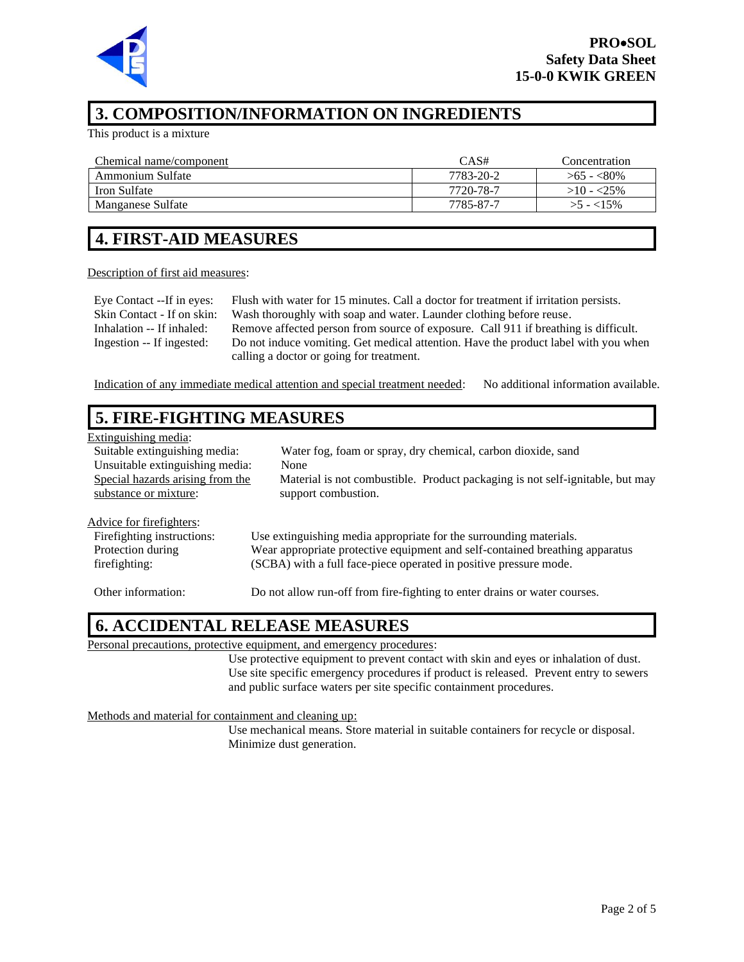

#### **3. COMPOSITION/INFORMATION ON INGREDIENTS**

This product is a mixture

| Chemical name/component | CAS#      | Concentration |
|-------------------------|-----------|---------------|
| Ammonium Sulfate        | 7783-20-2 | $>65 - 80\%$  |
| Iron Sulfate            | 7720-78-7 | $>10 - 25\%$  |
| Manganese Sulfate       | 7785-87-7 | $>5 - 15\%$   |

## **4. FIRST-AID MEASURES**

#### Description of first aid measures:

Eye Contact --If in eyes: Flush with water for 15 minutes. Call a doctor for treatment if irritation persists. Skin Contact - If on skin: Wash thoroughly with soap and water. Launder clothing before reuse. Inhalation -- If inhaled: Remove affected person from source of exposure. Call 911 if breathing is difficult. Ingestion -- If ingested: Do not induce vomiting. Get medical attention. Have the product label with you when calling a doctor or going for treatment.

Indication of any immediate medical attention and special treatment needed: No additional information available.

## **5. FIRE-FIGHTING MEASURES**

| Extinguishing media:             |                                                                               |
|----------------------------------|-------------------------------------------------------------------------------|
| Suitable extinguishing media:    | Water fog, foam or spray, dry chemical, carbon dioxide, sand                  |
| Unsuitable extinguishing media:  | None                                                                          |
| Special hazards arising from the | Material is not combustible. Product packaging is not self-ignitable, but may |
| substance or mixture:            | support combustion.                                                           |
|                                  |                                                                               |
| Advice for firefighters:         |                                                                               |
| Firefighting instructions:       | Use extinguishing media appropriate for the surrounding materials.            |
| Protection during                | Wear appropriate protective equipment and self-contained breathing apparatus  |
| firefighting:                    | (SCBA) with a full face-piece operated in positive pressure mode.             |
|                                  |                                                                               |
| Other information:               | Do not allow run-off from fire-fighting to enter drains or water courses.     |
|                                  |                                                                               |

#### **6. ACCIDENTAL RELEASE MEASURES**

Personal precautions, protective equipment, and emergency procedures:

Use protective equipment to prevent contact with skin and eyes or inhalation of dust. Use site specific emergency procedures if product is released. Prevent entry to sewers and public surface waters per site specific containment procedures.

Methods and material for containment and cleaning up:

Use mechanical means. Store material in suitable containers for recycle or disposal. Minimize dust generation.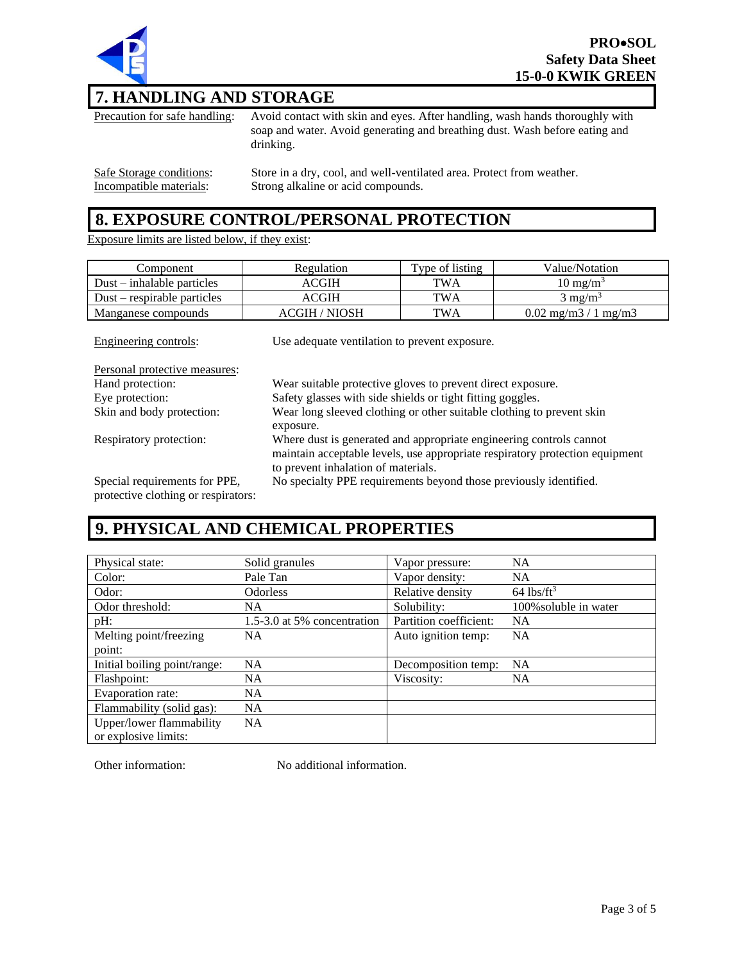

### **7. HANDLING AND STORAGE**

Precaution for safe handling: Avoid contact with skin and eyes. After handling, wash hands thoroughly with soap and water. Avoid generating and breathing dust. Wash before eating and drinking. Safe Storage conditions: Store in a dry, cool, and well-ventilated area. Protect from weather. Incompatible materials: Strong alkaline or acid compounds.

#### **8. EXPOSURE CONTROL/PERSONAL PROTECTION**

Exposure limits are listed below, if they exist:

| Component                     | Regulation    | Type of listing | Value/Notation                             |
|-------------------------------|---------------|-----------------|--------------------------------------------|
| $Dust - inhalable particles$  | ACGIH         | <b>TWA</b>      | $10 \text{ mg/m}^3$                        |
| $Dust$ – respirable particles | ACGIH         | TWA             | $3 \text{ mg/m}^3$                         |
| Manganese compounds           | ACGIH / NIOSH | TWA             | $0.02 \text{ mg/m}$ $3/1 \text{ mg/m}$ $3$ |

| Engineering controls:                                                | Use adequate ventilation to prevent exposure.                                                                                                                                              |
|----------------------------------------------------------------------|--------------------------------------------------------------------------------------------------------------------------------------------------------------------------------------------|
| Personal protective measures:                                        |                                                                                                                                                                                            |
| Hand protection:                                                     | Wear suitable protective gloves to prevent direct exposure.                                                                                                                                |
| Eye protection:                                                      | Safety glasses with side shields or tight fitting goggles.                                                                                                                                 |
| Skin and body protection:                                            | Wear long sleeved clothing or other suitable clothing to prevent skin<br>exposure.                                                                                                         |
| Respiratory protection:                                              | Where dust is generated and appropriate engineering controls cannot<br>maintain acceptable levels, use appropriate respiratory protection equipment<br>to prevent inhalation of materials. |
| Special requirements for PPE,<br>protective clothing or respirators: | No specialty PPE requirements beyond those previously identified.                                                                                                                          |

## **9. PHYSICAL AND CHEMICAL PROPERTIES**

| Physical state:              | Solid granules              | Vapor pressure:        | <b>NA</b>                |
|------------------------------|-----------------------------|------------------------|--------------------------|
| Color:                       | Pale Tan                    | Vapor density:         | <b>NA</b>                |
| Odor:                        | <b>Odorless</b>             | Relative density       | $64$ lbs/ft <sup>3</sup> |
| Odor threshold:              | NA.                         | Solubility:            | 100% soluble in water    |
| pH:                          | 1.5-3.0 at 5% concentration | Partition coefficient: | <b>NA</b>                |
| Melting point/freezing       | NA.                         | Auto ignition temp:    | <b>NA</b>                |
| point:                       |                             |                        |                          |
| Initial boiling point/range: | <b>NA</b>                   | Decomposition temp:    | <b>NA</b>                |
| Flashpoint:                  | NA.                         | Viscosity:             | <b>NA</b>                |
| Evaporation rate:            | <b>NA</b>                   |                        |                          |
| Flammability (solid gas):    | <b>NA</b>                   |                        |                          |
| Upper/lower flammability     | <b>NA</b>                   |                        |                          |
| or explosive limits:         |                             |                        |                          |

Other information: No additional information.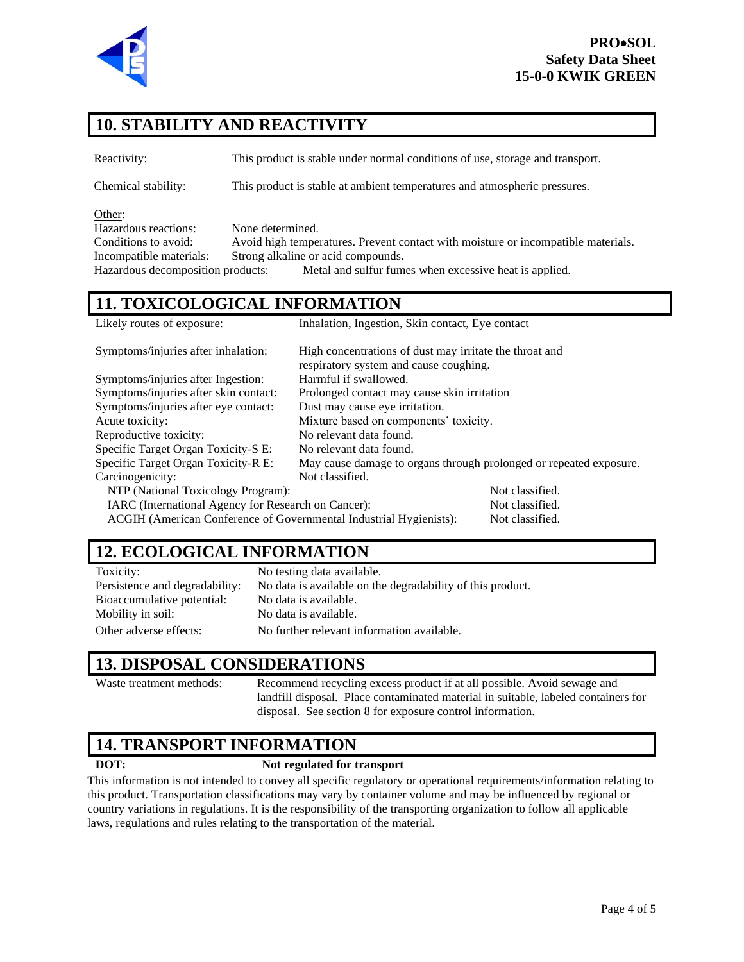

# **10. STABILITY AND REACTIVITY**

Reactivity: This product is stable under normal conditions of use, storage and transport.

Chemical stability: This product is stable at ambient temperatures and atmospheric pressures.

Other:

Hazardous reactions: None determined. Conditions to avoid: Avoid high temperatures. Prevent contact with moisture or incompatible materials. Incompatible materials: Strong alkaline or acid compounds. Hazardous decomposition products: Metal and sulfur fumes when excessive heat is applied.

# **11. TOXICOLOGICAL INFORMATION**

| Likely routes of exposure:                                         | Inhalation, Ingestion, Skin contact, Eye contact                   |                 |
|--------------------------------------------------------------------|--------------------------------------------------------------------|-----------------|
| Symptoms/injuries after inhalation:                                | High concentrations of dust may irritate the throat and            |                 |
|                                                                    | respiratory system and cause coughing.                             |                 |
| Symptoms/injuries after Ingestion:                                 | Harmful if swallowed.                                              |                 |
| Symptoms/injuries after skin contact:                              | Prolonged contact may cause skin irritation                        |                 |
| Symptoms/injuries after eye contact:                               | Dust may cause eye irritation.                                     |                 |
| Acute toxicity:                                                    | Mixture based on components' toxicity.                             |                 |
| Reproductive toxicity:                                             | No relevant data found.                                            |                 |
| Specific Target Organ Toxicity-S E:                                | No relevant data found.                                            |                 |
| Specific Target Organ Toxicity-R E:                                | May cause damage to organs through prolonged or repeated exposure. |                 |
| Carcinogenicity:                                                   | Not classified.                                                    |                 |
| NTP (National Toxicology Program):                                 |                                                                    | Not classified. |
| IARC (International Agency for Research on Cancer):                |                                                                    | Not classified. |
| ACGIH (American Conference of Governmental Industrial Hygienists): |                                                                    | Not classified. |

#### **12. ECOLOGICAL INFORMATION**

| Toxicity:                      | No testing data available.                                 |
|--------------------------------|------------------------------------------------------------|
| Persistence and degradability: | No data is available on the degradability of this product. |
| Bioaccumulative potential:     | No data is available.                                      |
| Mobility in soil:              | No data is available.                                      |
| Other adverse effects:         | No further relevant information available.                 |

# **13. DISPOSAL CONSIDERATIONS**

Waste treatment methods: Recommend recycling excess product if at all possible. Avoid sewage and landfill disposal. Place contaminated material in suitable, labeled containers for disposal. See section 8 for exposure control information.

## **14. TRANSPORT INFORMATION**

#### **DOT: Not regulated for transport**

This information is not intended to convey all specific regulatory or operational requirements/information relating to this product. Transportation classifications may vary by container volume and may be influenced by regional or country variations in regulations. It is the responsibility of the transporting organization to follow all applicable laws, regulations and rules relating to the transportation of the material.